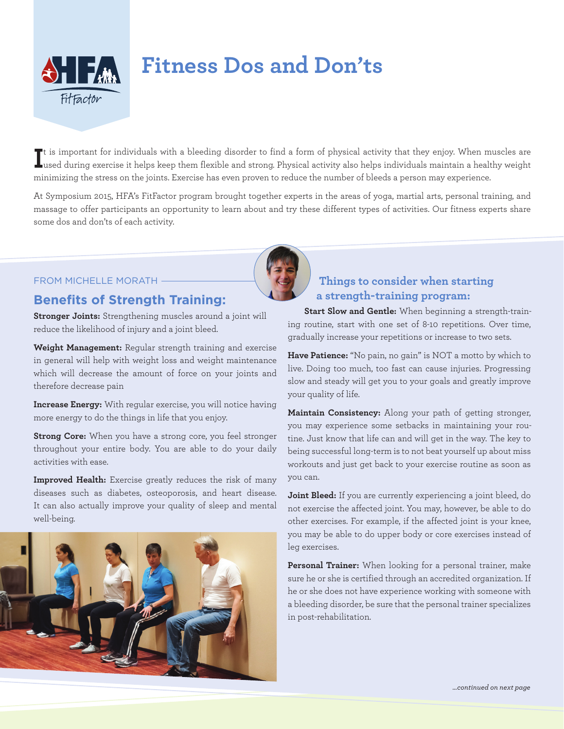

# **Fitness Dos and Don'ts**

If is important for individuals with a bleeding disorder to find a form of physical activity that they enjoy. When muscles are<br>Lused during exercise it helps keep them flexible and strong. Physical activity also helps indi  $\blacksquare$ used during exercise it helps keep them flexible and strong. Physical activity also helps individuals maintain a healthy weight minimizing the stress on the joints. Exercise has even proven to reduce the number of bleeds a person may experience.

At Symposium 2015, HFA's FitFactor program brought together experts in the areas of yoga, martial arts, personal training, and massage to offer participants an opportunity to learn about and try these different types of activities. Our fitness experts share some dos and don'ts of each activity.



#### FROM MICHELLE MORATH

### **Benefits of Strength Training:**

**Stronger Joints:** Strengthening muscles around a joint will reduce the likelihood of injury and a joint bleed.

**Weight Management:** Regular strength training and exercise in general will help with weight loss and weight maintenance which will decrease the amount of force on your joints and therefore decrease pain

**Increase Energy:** With regular exercise, you will notice having more energy to do the things in life that you enjoy.

**Strong Core:** When you have a strong core, you feel stronger throughout your entire body. You are able to do your daily activities with ease.

**Improved Health:** Exercise greatly reduces the risk of many diseases such as diabetes, osteoporosis, and heart disease. It can also actually improve your quality of sleep and mental well-being.



## **Things to consider when starting a strength-training program:**

**Start Slow and Gentle:** When beginning a strength-training routine, start with one set of 8-10 repetitions. Over time, gradually increase your repetitions or increase to two sets.

**Have Patience:** "No pain, no gain" is NOT a motto by which to live. Doing too much, too fast can cause injuries. Progressing slow and steady will get you to your goals and greatly improve your quality of life.

**Maintain Consistency:** Along your path of getting stronger, you may experience some setbacks in maintaining your routine. Just know that life can and will get in the way. The key to being successful long-term is to not beat yourself up about miss workouts and just get back to your exercise routine as soon as you can.

**Joint Bleed:** If you are currently experiencing a joint bleed, do not exercise the affected joint. You may, however, be able to do other exercises. For example, if the affected joint is your knee, you may be able to do upper body or core exercises instead of leg exercises.

**Personal Trainer:** When looking for a personal trainer, make sure he or she is certified through an accredited organization. If he or she does not have experience working with someone with a bleeding disorder, be sure that the personal trainer specializes in post-rehabilitation.

*…continued on next page*